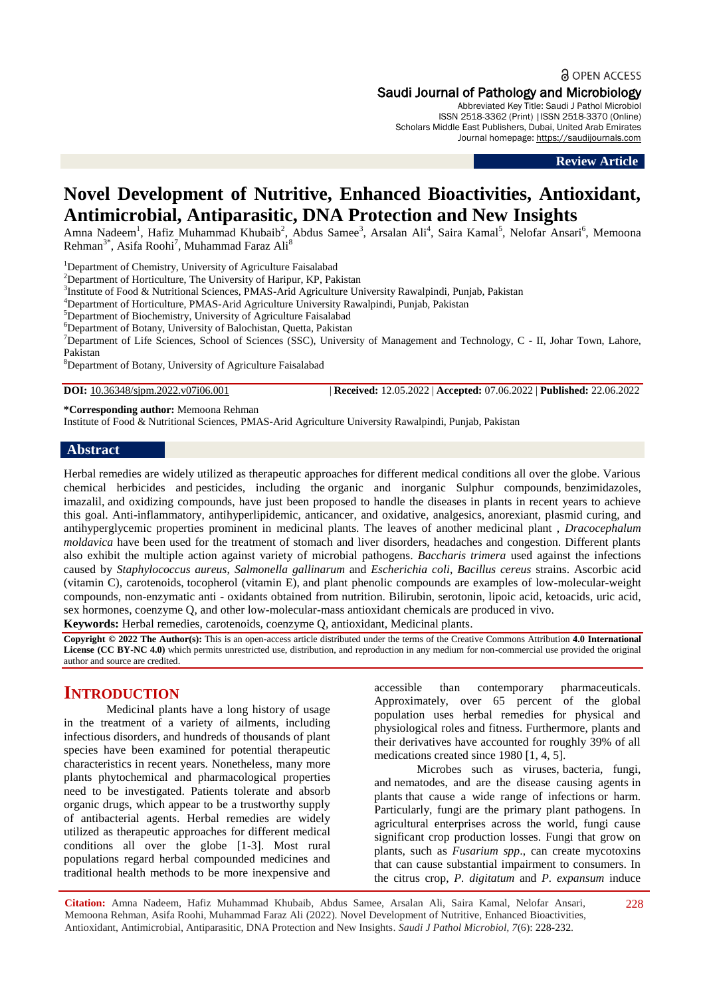a OPEN ACCESS

## Saudi Journal of Pathology and Microbiology

Abbreviated Key Title: Saudi J Pathol Microbiol ISSN 2518-3362 (Print) |ISSN 2518-3370 (Online) Scholars Middle East Publishers, Dubai, United Arab Emirates Journal homepage: [https://saudijournals.com](https://saudijournals.com/sjpm)

**Review Article**

# **Novel Development of Nutritive, Enhanced Bioactivities, Antioxidant, Antimicrobial, Antiparasitic, DNA Protection and New Insights**

Amna Nadeem<sup>1</sup>, Hafiz Muhammad Khubaib<sup>2</sup>, Abdus Samee<sup>3</sup>, Arsalan Ali<sup>4</sup>, Saira Kamal<sup>5</sup>, Nelofar Ansari<sup>6</sup>, Memoona Rehman<sup>3\*</sup>, Asifa Roohi<sup>7</sup>, Muhammad Faraz Ali<sup>8</sup>

<sup>1</sup>Department of Chemistry, University of Agriculture Faisalabad

<sup>2</sup>Department of Horticulture, The University of Haripur, KP, Pakistan

<sup>3</sup>Institute of Food & Nutritional Sciences, PMAS-Arid Agriculture University Rawalpindi, Punjab, Pakistan

<sup>4</sup>Department of Horticulture, PMAS-Arid Agriculture University Rawalpindi, Punjab, Pakistan

<sup>5</sup>Department of Biochemistry, University of Agriculture Faisalabad

<sup>6</sup>Department of Botany, University of Balochistan, Quetta, Pakistan

<sup>7</sup>Department of Life Sciences, School of Sciences (SSC), University of Management and Technology, C - II, Johar Town, Lahore, Pakistan

<sup>8</sup>Department of Botany, University of Agriculture Faisalabad

**DOI:** 10.36348/sjpm.2022.v07i06.001 | **Received:** 12.05.2022 | **Accepted:** 07.06.2022 | **Published:** 22.06.2022

#### **\*Corresponding author:** Memoona Rehman

Institute of Food & Nutritional Sciences, PMAS-Arid Agriculture University Rawalpindi, Punjab, Pakistan

#### **Abstract**

Herbal remedies are widely utilized as therapeutic approaches for different medical conditions all over the globe. Various chemical herbicides and pesticides, including the organic and inorganic Sulphur compounds, benzimidazoles, imazalil, and oxidizing compounds, have just been proposed to handle the diseases in plants in recent years to achieve this goal. Anti-inflammatory, antihyperlipidemic, anticancer, and oxidative, analgesics, anorexiant, plasmid curing, and antihyperglycemic properties prominent in medicinal plants. The leaves of another medicinal plant , *Dracocephalum moldavica* have been used for the treatment of stomach and liver disorders, headaches and congestion. Different plants also exhibit the multiple action against variety of microbial pathogens. *Baccharis trimera* used against the infections caused by *Staphylococcus aureus*, *Salmonella gallinarum* and *Escherichia coli*, *Bacillus cereus* strains. Ascorbic acid (vitamin C), carotenoids, tocopherol (vitamin E), and plant phenolic compounds are examples of low-molecular-weight compounds, non-enzymatic anti - oxidants obtained from nutrition. Bilirubin, serotonin, lipoic acid, ketoacids, uric acid, sex hormones, coenzyme Q, and other low-molecular-mass antioxidant chemicals are produced in vivo.

**Keywords:** Herbal remedies, carotenoids, coenzyme Q, antioxidant, Medicinal plants.

**Copyright © 2022 The Author(s):** This is an open-access article distributed under the terms of the Creative Commons Attribution **4.0 International License (CC BY-NC 4.0)** which permits unrestricted use, distribution, and reproduction in any medium for non-commercial use provided the original author and source are credited.

# **INTRODUCTION**

Medicinal plants have a long history of usage in the treatment of a variety of ailments, including infectious disorders, and hundreds of thousands of plant species have been examined for potential therapeutic characteristics in recent years. Nonetheless, many more plants phytochemical and pharmacological properties need to be investigated. Patients tolerate and absorb organic drugs, which appear to be a trustworthy supply of antibacterial agents. Herbal remedies are widely utilized as therapeutic approaches for different medical conditions all over the globe [1-3]. Most rural populations regard herbal compounded medicines and traditional health methods to be more inexpensive and accessible than contemporary pharmaceuticals. Approximately, over 65 percent of the global population uses herbal remedies for physical and physiological roles and fitness. Furthermore, plants and their derivatives have accounted for roughly 39% of all medications created since 1980 [1, 4, 5].

Microbes such as viruses, bacteria, fungi, and nematodes, and are the disease causing agents in plants that cause a wide range of infections or harm. Particularly, fungi are the primary plant pathogens. In agricultural enterprises across the world, fungi cause significant crop production losses. Fungi that grow on plants, such as *Fusarium spp*., can create mycotoxins that can cause substantial impairment to consumers. In the citrus crop, *P. digitatum* and *P. expansum* induce

**Citation:** Amna Nadeem, Hafiz Muhammad Khubaib, Abdus Samee, Arsalan Ali, Saira Kamal, Nelofar Ansari, Memoona Rehman, Asifa Roohi, Muhammad Faraz Ali (2022). Novel Development of Nutritive, Enhanced Bioactivities, Antioxidant, Antimicrobial, Antiparasitic, DNA Protection and New Insights. *Saudi J Pathol Microbiol, 7*(6): 228-232.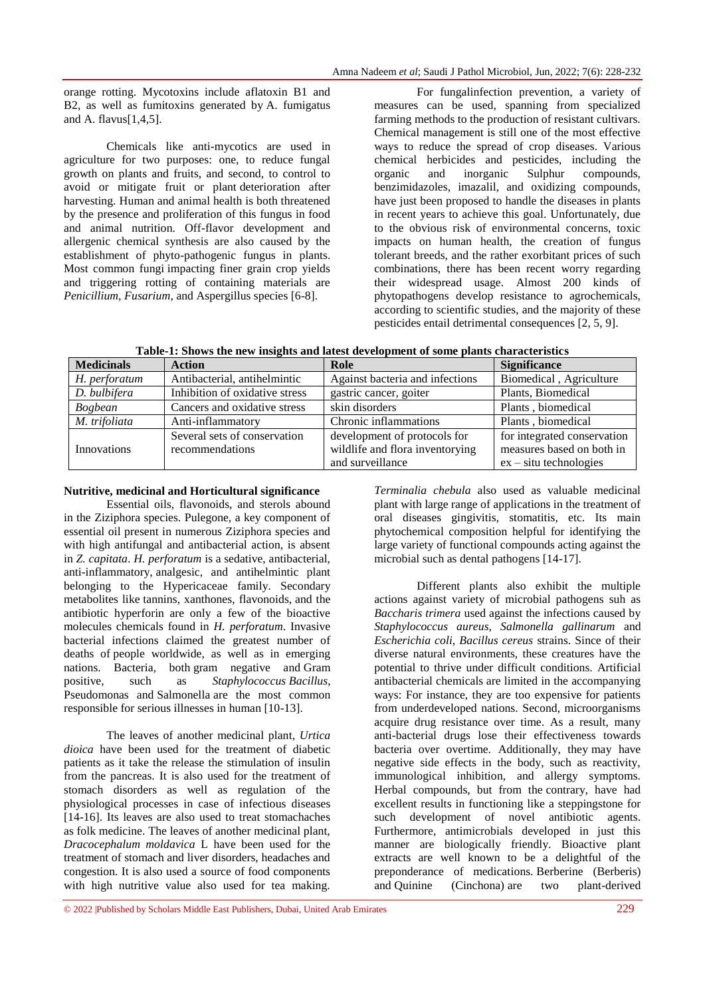orange rotting. Mycotoxins include aflatoxin B1 and B2, as well as fumitoxins generated by A. fumigatus and A. flavus[1,4,5].

Chemicals like anti-mycotics are used in agriculture for two purposes: one, to reduce fungal growth on plants and fruits, and second, to control to avoid or mitigate fruit or plant deterioration after harvesting. Human and animal health is both threatened by the presence and proliferation of this fungus in food and animal nutrition. Off-flavor development and allergenic chemical synthesis are also caused by the establishment of phyto-pathogenic fungus in plants. Most common fungi impacting finer grain crop yields and triggering rotting of containing materials are *Penicillium, Fusarium*, and Aspergillus species [6-8].

For fungalinfection prevention, a variety of measures can be used, spanning from specialized farming methods to the production of resistant cultivars. Chemical management is still one of the most effective ways to reduce the spread of crop diseases. Various chemical herbicides and pesticides, including the organic and inorganic Sulphur compounds, benzimidazoles, imazalil, and oxidizing compounds, have just been proposed to handle the diseases in plants in recent years to achieve this goal. Unfortunately, due to the obvious risk of environmental concerns, toxic impacts on human health, the creation of fungus tolerant breeds, and the rather exorbitant prices of such combinations, there has been recent worry regarding their widespread usage. Almost 200 kinds of phytopathogens develop resistance to agrochemicals, according to scientific studies, and the majority of these pesticides entail detrimental consequences [2, 5, 9].

**Table-1: Shows the new insights and latest development of some plants characteristics**

| <b>Medicinals</b> | <b>Action</b>                  | Role                            | <b>Significance</b>         |
|-------------------|--------------------------------|---------------------------------|-----------------------------|
| H. perforatum     | Antibacterial, antihelmintic   | Against bacteria and infections | Biomedical, Agriculture     |
| D. bulbifera      | Inhibition of oxidative stress | gastric cancer, goiter          | Plants, Biomedical          |
| <b>Bogbean</b>    | Cancers and oxidative stress   | skin disorders                  | Plants, biomedical          |
| M. trifoliata     | Anti-inflammatory              | Chronic inflammations           | Plants, biomedical          |
|                   | Several sets of conservation   | development of protocols for    | for integrated conservation |
| Innovations       | recommendations                | wildlife and flora inventorying | measures based on both in   |
|                   |                                | and surveillance                | $ex - situ$ technologies    |

#### **Nutritive, medicinal and Horticultural significance**

Essential oils, flavonoids, and sterols abound in the Ziziphora species. Pulegone, a key component of essential oil present in numerous Ziziphora species and with high antifungal and antibacterial action, is absent in *Z. capitata*. *H. perforatum* is a sedative, antibacterial, anti-inflammatory, analgesic, and antihelmintic plant belonging to the Hypericaceae family. Secondary metabolites like tannins, xanthones, flavonoids, and the antibiotic hyperforin are only a few of the bioactive molecules chemicals found in *H. perforatum*. Invasive bacterial infections claimed the greatest number of deaths of people worldwide, as well as in emerging nations. Bacteria, both gram negative and Gram positive, such as *Staphylococcus Bacillus*, Pseudomonas and Salmonella are the most common responsible for serious illnesses in human [10-13].

The leaves of another medicinal plant, *Urtica dioica* have been used for the treatment of diabetic patients as it take the release the stimulation of insulin from the pancreas. It is also used for the treatment of stomach disorders as well as regulation of the physiological processes in case of infectious diseases [14-16]. Its leaves are also used to treat stomachaches as folk medicine. The leaves of another medicinal plant, *Dracocephalum moldavica* L have been used for the treatment of stomach and liver disorders, headaches and congestion. It is also used a source of food components with high nutritive value also used for tea making.

*Terminalia chebula* also used as valuable medicinal plant with large range of applications in the treatment of oral diseases gingivitis, stomatitis, etc. Its main phytochemical composition helpful for identifying the large variety of functional compounds acting against the microbial such as dental pathogens [14-17].

Different plants also exhibit the multiple actions against variety of microbial pathogens suh as *Baccharis trimera* used against the infections caused by *Staphylococcus aureus, Salmonella gallinarum* and *Escherichia coli, Bacillus cereus* strains. Since of their diverse natural environments, these creatures have the potential to thrive under difficult conditions. Artificial antibacterial chemicals are limited in the accompanying ways: For instance, they are too expensive for patients from underdeveloped nations. Second, microorganisms acquire drug resistance over time. As a result, many anti-bacterial drugs lose their effectiveness towards bacteria over overtime. Additionally, they may have negative side effects in the body, such as reactivity, immunological inhibition, and allergy symptoms. Herbal compounds, but from the contrary, have had excellent results in functioning like a steppingstone for such development of novel antibiotic agents. Furthermore, antimicrobials developed in just this manner are biologically friendly. Bioactive plant extracts are well known to be a delightful of the preponderance of medications. Berberine (Berberis) and Quinine (Cinchona) are two plant-derived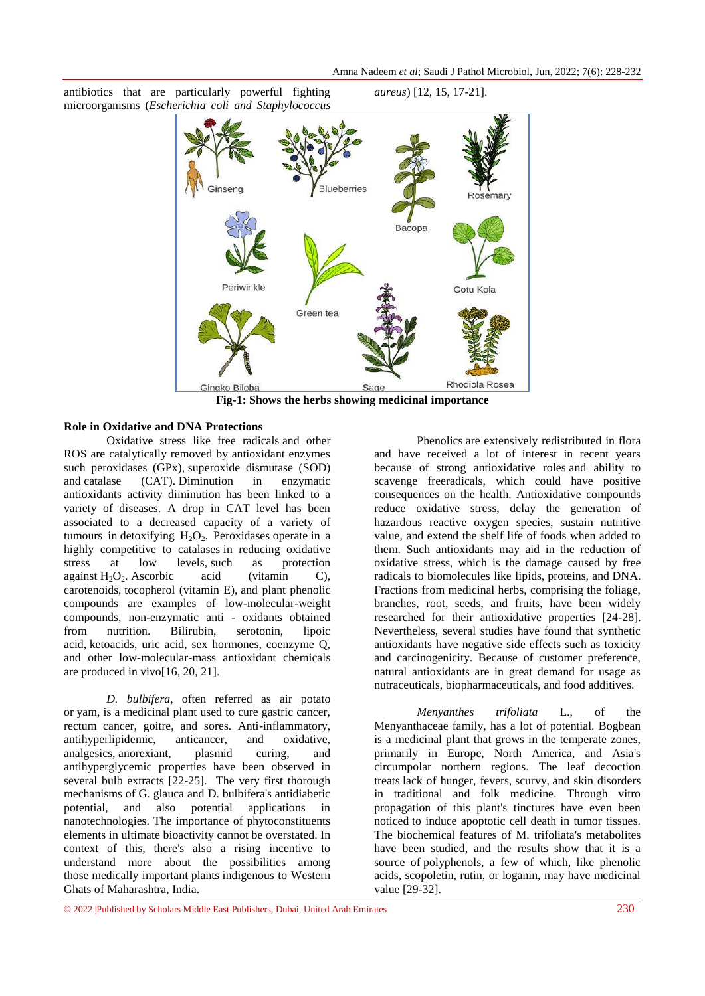Amna Nadeem *et al*; Saudi J Pathol Microbiol, Jun, 2022; 7(6): 228-232

antibiotics that are particularly powerful fighting microorganisms (*Escherichia coli and Staphylococcus* 

*aureus*) [12, 15, 17-21].



**Fig-1: Shows the herbs showing medicinal importance**

## **Role in Oxidative and DNA Protections**

Oxidative stress like free radicals and other ROS are catalytically removed by antioxidant enzymes such peroxidases (GPx), superoxide dismutase (SOD) and catalase (CAT). Diminution in enzymatic antioxidants activity diminution has been linked to a variety of diseases. A drop in CAT level has been associated to a decreased capacity of a variety of tumours in detoxifying  $H_2O_2$ . Peroxidases operate in a highly competitive to catalases in reducing oxidative<br>stress at low levels, such as protection stress at low levels, such as against  $H_2O_2$ . Ascorbic acid (vitamin C), carotenoids, tocopherol (vitamin E), and plant phenolic compounds are examples of low-molecular-weight compounds, non-enzymatic anti - oxidants obtained from nutrition. Bilirubin, serotonin, lipoic acid, ketoacids, uric acid, sex hormones, coenzyme Q, and other low-molecular-mass antioxidant chemicals are produced in vivo[16, 20, 21].

*D. bulbifera*, often referred as air potato or yam, is a medicinal plant used to cure gastric cancer, rectum cancer, goitre, and sores. Anti-inflammatory, antihyperlipidemic, anticancer, and oxidative, analgesics, anorexiant, plasmid curing, and antihyperglycemic properties have been observed in several bulb extracts [22-25]. The very first thorough mechanisms of G. glauca and D. bulbifera's antidiabetic potential, and also potential applications in nanotechnologies. The importance of phytoconstituents elements in ultimate bioactivity cannot be overstated. In context of this, there's also a rising incentive to understand more about the possibilities among those medically important plants indigenous to Western Ghats of Maharashtra, India.

Phenolics are extensively redistributed in flora and have received a lot of interest in recent years because of strong antioxidative roles and ability to scavenge freeradicals, which could have positive consequences on the health. Antioxidative compounds reduce oxidative stress, delay the generation of hazardous reactive oxygen species, sustain nutritive value, and extend the shelf life of foods when added to them. Such antioxidants may aid in the reduction of oxidative stress, which is the damage caused by free radicals to biomolecules like lipids, proteins, and DNA. Fractions from medicinal herbs, comprising the foliage, branches, root, seeds, and fruits, have been widely researched for their antioxidative properties [24-28]. Nevertheless, several studies have found that synthetic antioxidants have negative side effects such as toxicity and carcinogenicity. Because of customer preference, natural antioxidants are in great demand for usage as nutraceuticals, biopharmaceuticals, and food additives.

*Menyanthes trifoliata* L., of the Menyanthaceae family, has a lot of potential. Bogbean is a medicinal plant that grows in the temperate zones, primarily in Europe, North America, and Asia's circumpolar northern regions. The leaf decoction treats lack of hunger, fevers, scurvy, and skin disorders in traditional and folk medicine. Through vitro propagation of this plant's tinctures have even been noticed to induce apoptotic cell death in tumor tissues. The biochemical features of M. trifoliata's metabolites have been studied, and the results show that it is a source of polyphenols, a few of which, like phenolic acids, scopoletin, rutin, or loganin, may have medicinal value [29-32].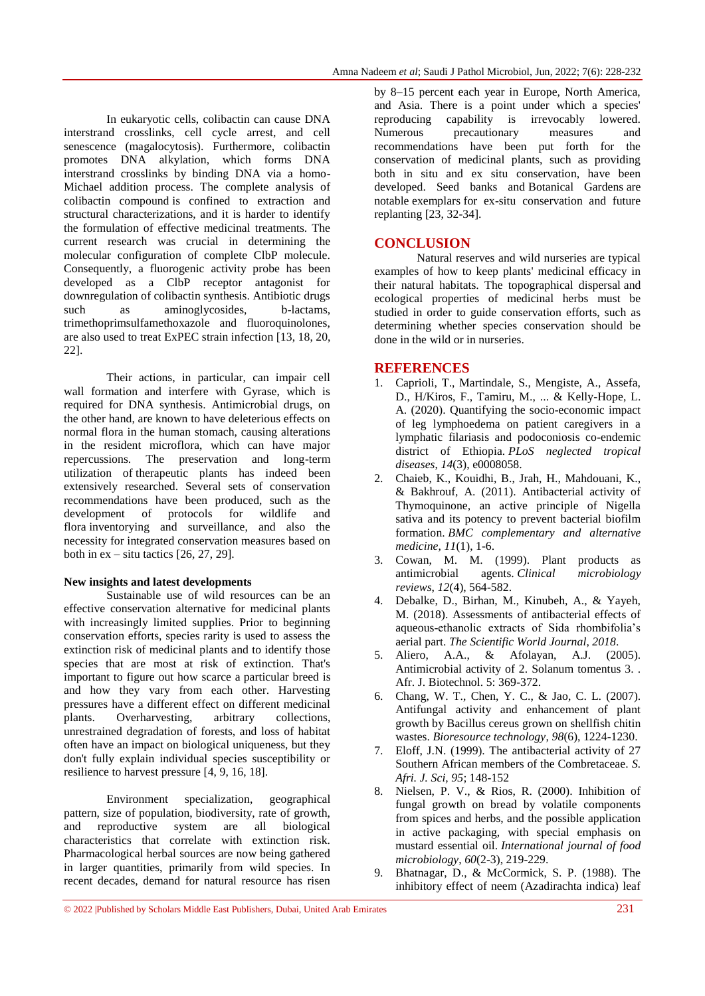In eukaryotic cells, colibactin can cause DNA interstrand crosslinks, cell cycle arrest, and cell senescence (magalocytosis). Furthermore, colibactin promotes DNA alkylation, which forms DNA interstrand crosslinks by binding DNA via a homo-Michael addition process. The complete analysis of colibactin compound is confined to extraction and structural characterizations, and it is harder to identify the formulation of effective medicinal treatments. The current research was crucial in determining the molecular configuration of complete ClbP molecule. Consequently, a fluorogenic activity probe has been developed as a ClbP receptor antagonist for downregulation of colibactin synthesis. Antibiotic drugs such as aminoglycosides, b-lactams, trimethoprimsulfamethoxazole and fluoroquinolones, are also used to treat ExPEC strain infection [13, 18, 20, 22].

Their actions, in particular, can impair cell wall formation and interfere with Gyrase, which is required for DNA synthesis. Antimicrobial drugs, on the other hand, are known to have deleterious effects on normal flora in the human stomach, causing alterations in the resident microflora, which can have major repercussions. The preservation and long-term utilization of therapeutic plants has indeed been extensively researched. Several sets of conservation recommendations have been produced, such as the development of protocols for wildlife and flora inventorying and surveillance, and also the necessity for integrated conservation measures based on both in  $ex - situ$  tactics  $[26, 27, 29]$ .

## **New insights and latest developments**

Sustainable use of wild resources can be an effective conservation alternative for medicinal plants with increasingly limited supplies. Prior to beginning conservation efforts, species rarity is used to assess the extinction risk of medicinal plants and to identify those species that are most at risk of extinction. That's important to figure out how scarce a particular breed is and how they vary from each other. Harvesting pressures have a different effect on different medicinal plants. Overharvesting, arbitrary collections, unrestrained degradation of forests, and loss of habitat often have an impact on biological uniqueness, but they don't fully explain individual species susceptibility or resilience to harvest pressure [4, 9, 16, 18].

Environment specialization, geographical pattern, size of population, biodiversity, rate of growth, and reproductive system are all biological characteristics that correlate with extinction risk. Pharmacological herbal sources are now being gathered in larger quantities, primarily from wild species. In recent decades, demand for natural resource has risen

by 8–15 percent each year in Europe, North America, and Asia. There is a point under which a species' reproducing capability is irrevocably lowered. Numerous precautionary measures and recommendations have been put forth for the conservation of medicinal plants, such as providing both in situ and ex situ conservation, have been developed. Seed banks and Botanical Gardens are notable exemplars for ex-situ conservation and future replanting [23, 32-34].

## **CONCLUSION**

Natural reserves and wild nurseries are typical examples of how to keep plants' medicinal efficacy in their natural habitats. The topographical dispersal and ecological properties of medicinal herbs must be studied in order to guide conservation efforts, such as determining whether species conservation should be done in the wild or in nurseries.

## **REFERENCES**

- 1. Caprioli, T., Martindale, S., Mengiste, A., Assefa, D., H/Kiros, F., Tamiru, M., ... & Kelly-Hope, L. A. (2020). Quantifying the socio-economic impact of leg lymphoedema on patient caregivers in a lymphatic filariasis and podoconiosis co-endemic district of Ethiopia. *PLoS neglected tropical diseases*, *14*(3), e0008058.
- 2. Chaieb, K., Kouidhi, B., Jrah, H., Mahdouani, K., & Bakhrouf, A. (2011). Antibacterial activity of Thymoquinone, an active principle of Nigella sativa and its potency to prevent bacterial biofilm formation. *BMC complementary and alternative medicine*, *11*(1), 1-6.
- 3. Cowan, M. M. (1999). Plant products as antimicrobial agents. *Clinical microbiology reviews*, *12*(4), 564-582.
- 4. Debalke, D., Birhan, M., Kinubeh, A., & Yayeh, M. (2018). Assessments of antibacterial effects of aqueous-ethanolic extracts of Sida rhombifolia's aerial part. *The Scientific World Journal*, *2018*.
- 5. Aliero, A.A., & Afolayan, A.J. (2005). Antimicrobial activity of 2. Solanum tomentus 3. . Afr. J. Biotechnol. 5: 369-372.
- 6. Chang, W. T., Chen, Y. C., & Jao, C. L. (2007). Antifungal activity and enhancement of plant growth by Bacillus cereus grown on shellfish chitin wastes. *Bioresource technology*, *98*(6), 1224-1230.
- 7. Eloff, J.N. (1999). The antibacterial activity of 27 Southern African members of the Combretaceae. *S. Afri. J. Sci, 95*; 148-152
- 8. Nielsen, P. V., & Rios, R. (2000). Inhibition of fungal growth on bread by volatile components from spices and herbs, and the possible application in active packaging, with special emphasis on mustard essential oil. *International journal of food microbiology*, *60*(2-3), 219-229.
- 9. Bhatnagar, D., & McCormick, S. P. (1988). The inhibitory effect of neem (Azadirachta indica) leaf